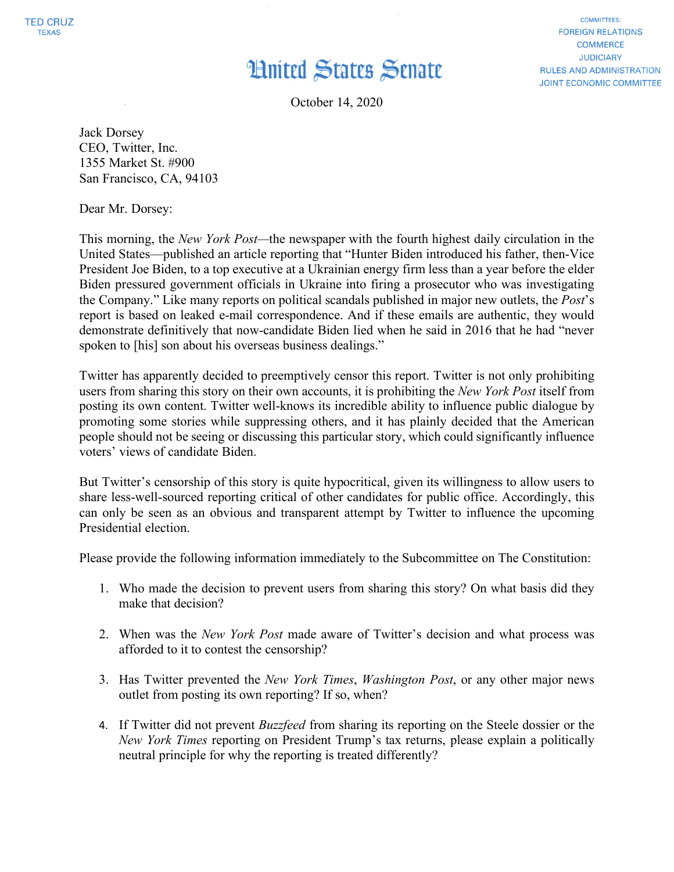## **Hnited States Senate**

**FOREIGN RELATIONS COMMERCE JUDICIARY RULES AND ADMINISTRATION JOINT ECONOMIC COMMITTEE** 

**COMMITTEES:** 

October 14, 2020

Jack Dorsey CEO, Twitter, Inc. 1355 Market St. #900 San Francisco, CA, 94103

Dear Mr. Dorsey:

This morning, the *New York Post—*the newspaper with the fourth highest daily circulation in the United States—published an article reporting that "Hunter Biden introduced his father, then-Vice President Joe Biden, to a top executive at a Ukrainian energy firm less than a year before the elder Biden pressured government officials in Ukraine into firing a prosecutor who was investigating the Company." Like many reports on political scandals published in major new outlets, the *Post*'s report is based on leaked e-mail correspondence. And if these emails are authentic, they would demonstrate definitively that now-candidate Biden lied when he said in 2016 that he had "never spoken to [his] son about his overseas business dealings."

Twitter has apparently decided to preemptively censor this report. Twitter is not only prohibiting users from sharing this story on their own accounts, it is prohibiting the *New York Post* itself from posting its own content. Twitter well-knows its incredible ability to influence public dialogue by promoting some stories while suppressing others, and it has plainly decided that the American people should not be seeing or discussing this particular story, which could significantly influence voters' views of candidate Biden.

But Twitter's censorship of this story is quite hypocritical, given its willingness to allow users to share less-well-sourced reporting critical of other candidates for public office. Accordingly, this can only be seen as an obvious and transparent attempt by Twitter to influence the upcoming Presidential election.

Please provide the following information immediately to the Subcommittee on The Constitution:

- 1. Who made the decision to prevent users from sharing this story? On what basis did they make that decision?
- 2. When was the *New York Post* made aware of Twitter's decision and what process was afforded to it to contest the censorship?
- 3. Has Twitter prevented the *New York Times*, *Washington Post*, or any other major news outlet from posting its own reporting? If so, when?
- 4. If Twitter did not prevent *Buzzfeed* from sharing its reporting on the Steele dossier or the *New York Times* reporting on President Trump's tax returns, please explain a politically neutral principle for why the reporting is treated differently?